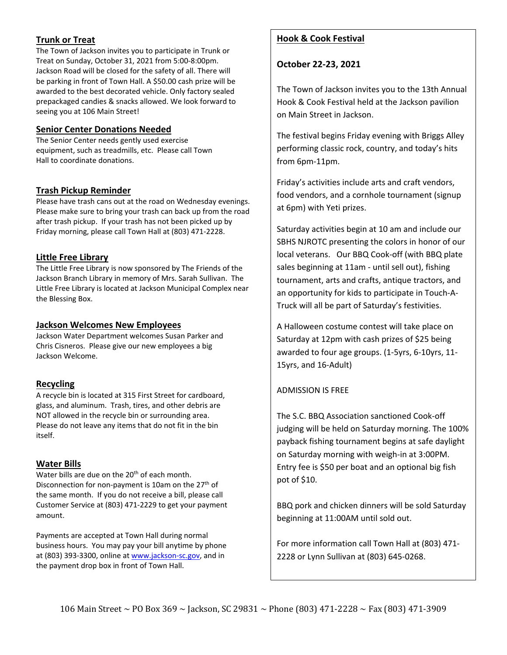# **Trunk or Treat**

The Town of Jackson invites you to participate in Trunk or Treat on Sunday, October 31, 2021 from 5:00-8:00pm. Jackson Road will be closed for the safety of all. There will be parking in front of Town Hall. A \$50.00 cash prize will be awarded to the best decorated vehicle. Only factory sealed prepackaged candies & snacks allowed. We look forward to seeing you at 106 Main Street!

### **Senior Center Donations Needed**

The Senior Center needs gently used exercise equipment, such as treadmills, etc. Please call Town Hall to coordinate donations.

### **Trash Pickup Reminder**

Please have trash cans out at the road on Wednesday evenings. Please make sure to bring your trash can back up from the road after trash pickup. If your trash has not been picked up by Friday morning, please call Town Hall at (803) 471-2228.

### **Little Free Library**

The Little Free Library is now sponsored by The Friends of the Jackson Branch Library in memory of Mrs. Sarah Sullivan. The Little Free Library is located at Jackson Municipal Complex near the Blessing Box.

### **Jackson Welcomes New Employees**

Jackson Water Department welcomes Susan Parker and Chris Cisneros. Please give our new employees a big Jackson Welcome.

## **Recycling**

A recycle bin is located at 315 First Street for cardboard, glass, and aluminum. Trash, tires, and other debris are NOT allowed in the recycle bin or surrounding area. Please do not leave any items that do not fit in the bin itself.

## **Water Bills**

Water bills are due on the 20<sup>th</sup> of each month. Disconnection for non-payment is 10am on the 27<sup>th</sup> of the same month. If you do not receive a bill, please call Customer Service at (803) 471-2229 to get your payment amount.

Payments are accepted at Town Hall during normal business hours. You may pay your bill anytime by phone at (803) 393-3300, online at [www.jackson-sc.gov,](http://www.jackson-sc.gov/) and in the payment drop box in front of Town Hall.

# **Hook & Cook Festival**

**October 22-23, 2021**

The Town of Jackson invites you to the 13th Annual Hook & Cook Festival held at the Jackson pavilion on Main Street in Jackson.

The festival begins Friday evening with Briggs Alley performing classic rock, country, and today's hits from 6pm-11pm.

Friday's activities include arts and craft vendors, food vendors, and a cornhole tournament (signup at 6pm) with Yeti prizes.

Saturday activities begin at 10 am and include our SBHS NJROTC presenting the colors in honor of our local veterans. Our BBQ Cook-off (with BBQ plate sales beginning at 11am - until sell out), fishing tournament, arts and crafts, antique tractors, and an opportunity for kids to participate in Touch-A-Truck will all be part of Saturday's festivities.

A Halloween costume contest will take place on Saturday at 12pm with cash prizes of \$25 being awarded to four age groups. (1-5yrs, 6-10yrs, 11- 15yrs, and 16-Adult)

## ADMISSION IS FREE

The S.C. BBQ Association sanctioned Cook-off judging will be held on Saturday morning. The 100% payback fishing tournament begins at safe daylight on Saturday morning with weigh-in at 3:00PM. Entry fee is \$50 per boat and an optional big fish pot of \$10.

BBQ pork and chicken dinners will be sold Saturday beginning at 11:00AM until sold out.

For more information call Town Hall at (803) 471- 2228 or Lynn Sullivan at (803) 645-0268.